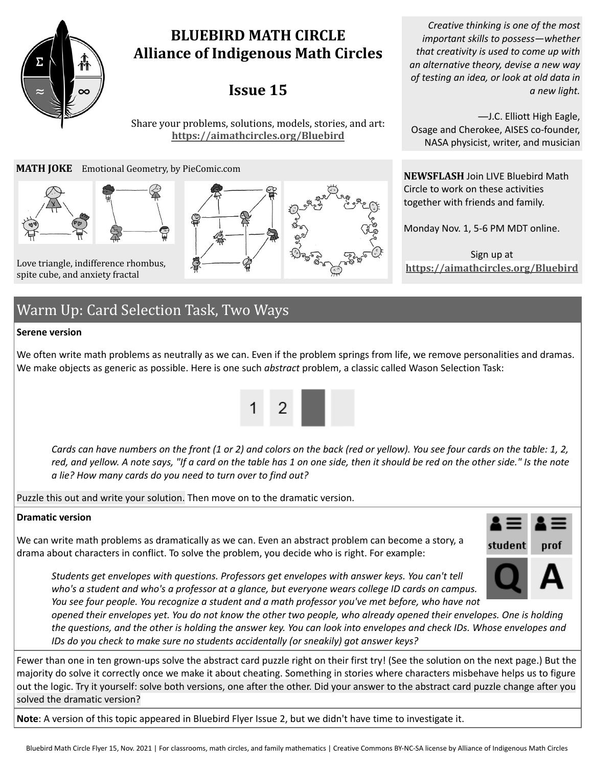# **BLUEBIRD MATH CIRCLE Alliance of Indigenous Math Circles**

# **Issue 15**

Share your problems, solutions, models, stories, and art: **<https://aimathcircles.org/Bluebird>**

#### **MATH JOKE** Emotional Geometry, by PieComic.com



spite cube, and anxiety fractal



*Creative thinking is one of the most important skills to possess—whether that creativity is used to come up with an alternative theory, devise a new way of testing an idea, or look at old data in a new light.*

―J.C. Elliott High Eagle, Osage and Cherokee, AISES co-founder, NASA physicist, writer, and musician

**NEWSFLASH** Join LIVE Bluebird Math Circle to work on these activities together with friends and family.

Monday Nov. 1, 5-6 PM MDT online.

Sign up at

# Warm Up: Card Selection Task, Two Ways

#### **Serene version**

We often write math problems as neutrally as we can. Even if the problem springs from life, we remove personalities and dramas. We make objects as generic as possible. Here is one such *abstract* problem, a classic called Wason Selection Task:



*Cards can have numbers on the front (1 or 2) and colors on the back (red or yellow). You see four cards on the table: 1, 2, red, and yellow. A note says, "If a card on the table has 1 on one side, then it should be red on the other side." Is the note a lie? How many cards do you need to turn over to find out?*

Puzzle this out and write your solution. Then move on to the dramatic version.

#### **Dramatic version**

We can write math problems as dramatically as we can. Even an abstract problem can become a story, a drama about characters in conflict. To solve the problem, you decide who is right. For example:



*Students get envelopes with questions. Professors get envelopes with answer keys. You can't tell who's a student and who's a professor at a glance, but everyone wears college ID cards on campus. You see four people. You recognize a student and a math professor you've met before, who have not*

*opened their envelopes yet. You do not know the other two people, who already opened their envelopes. One is holding the questions, and the other is holding the answer key. You can look into envelopes and check IDs. Whose envelopes and IDs do you check to make sure no students accidentally (or sneakily) got answer keys?*

Fewer than one in ten grown-ups solve the abstract card puzzle right on their first try! (See the solution on the next page.) But the majority do solve it correctly once we make it about cheating. Something in stories where characters misbehave helps us to figure out the logic. Try it yourself: solve both versions, one after the other. Did your answer to the abstract card puzzle change after you solved the dramatic version?

**Note**: A version of this topic appeared in Bluebird Flyer Issue 2, but we didn't have time to investigate it.